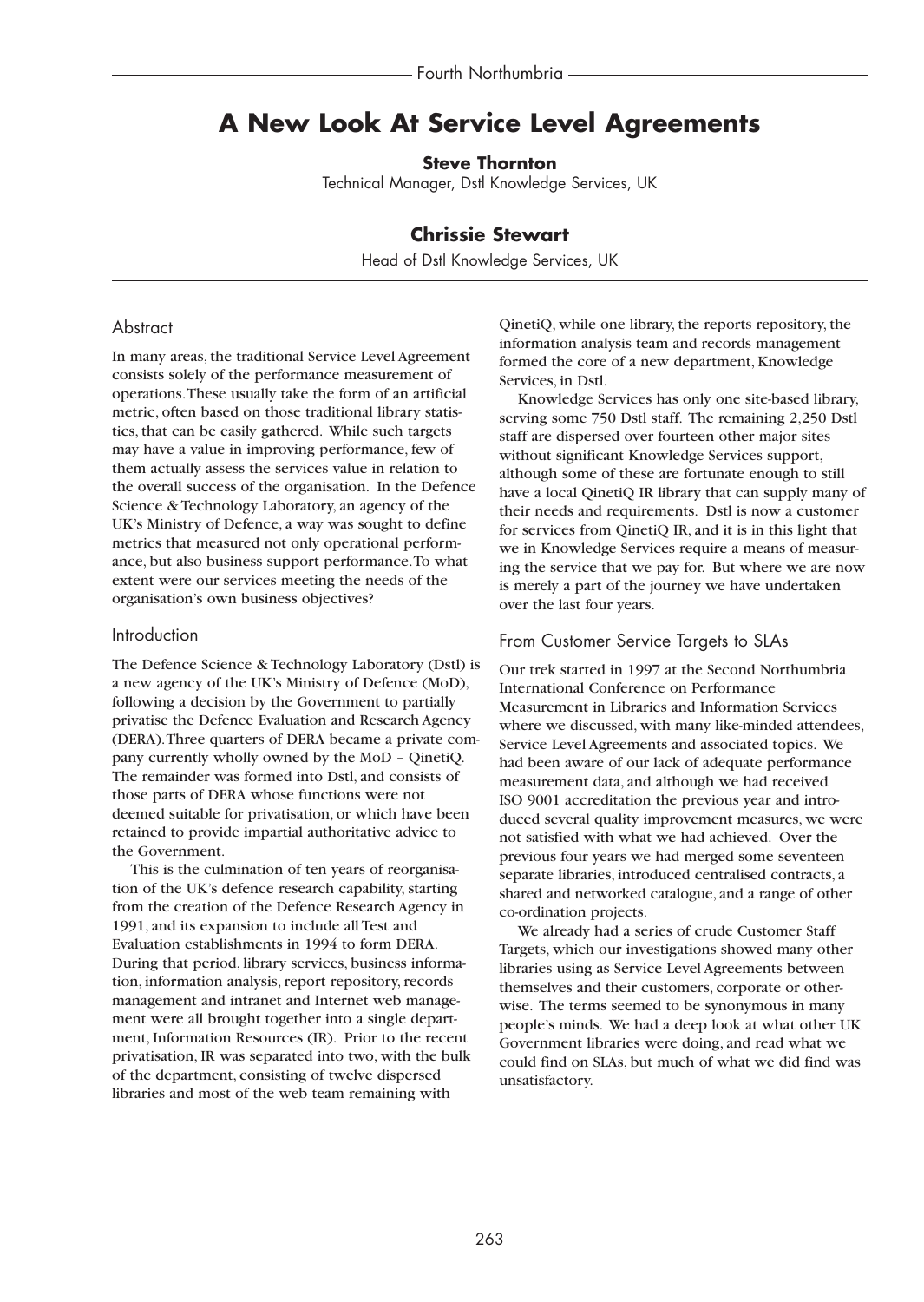# **A New Look At Service Level Agreements**

**Steve Thornton**

Technical Manager, Dstl Knowledge Services, UK

# **Chrissie Stewart**

Head of Dstl Knowledge Services, UK

## **Abstract**

In many areas, the traditional Service Level Agreement consists solely of the performance measurement of operations.These usually take the form of an artificial metric, often based on those traditional library statistics, that can be easily gathered. While such targets may have a value in improving performance, few of them actually assess the services value in relation to the overall success of the organisation. In the Defence Science & Technology Laboratory, an agency of the UK's Ministry of Defence, a way was sought to define metrics that measured not only operational performance, but also business support performance.To what extent were our services meeting the needs of the organisation's own business objectives?

### Introduction

The Defence Science & Technology Laboratory (Dstl) is a new agency of the UK's Ministry of Defence (MoD), following a decision by the Government to partially privatise the Defence Evaluation and Research Agency (DERA).Three quarters of DERA became a private company currently wholly owned by the MoD – QinetiQ. The remainder was formed into Dstl, and consists of those parts of DERA whose functions were not deemed suitable for privatisation, or which have been retained to provide impartial authoritative advice to the Government.

This is the culmination of ten years of reorganisation of the UK's defence research capability, starting from the creation of the Defence Research Agency in 1991, and its expansion to include all Test and Evaluation establishments in 1994 to form DERA. During that period, library services, business information, information analysis, report repository, records management and intranet and Internet web management were all brought together into a single department, Information Resources (IR). Prior to the recent privatisation, IR was separated into two, with the bulk of the department, consisting of twelve dispersed libraries and most of the web team remaining with

QinetiQ, while one library, the reports repository, the information analysis team and records management formed the core of a new department, Knowledge Services, in Dstl.

Knowledge Services has only one site-based library, serving some 750 Dstl staff. The remaining 2,250 Dstl staff are dispersed over fourteen other major sites without significant Knowledge Services support, although some of these are fortunate enough to still have a local QinetiQ IR library that can supply many of their needs and requirements. Dstl is now a customer for services from QinetiQ IR, and it is in this light that we in Knowledge Services require a means of measuring the service that we pay for. But where we are now is merely a part of the journey we have undertaken over the last four years.

#### From Customer Service Targets to SLAs

Our trek started in 1997 at the Second Northumbria International Conference on Performance Measurement in Libraries and Information Services where we discussed, with many like-minded attendees, Service Level Agreements and associated topics. We had been aware of our lack of adequate performance measurement data, and although we had received ISO 9001 accreditation the previous year and introduced several quality improvement measures, we were not satisfied with what we had achieved. Over the previous four years we had merged some seventeen separate libraries, introduced centralised contracts, a shared and networked catalogue, and a range of other co-ordination projects.

We already had a series of crude Customer Staff Targets, which our investigations showed many other libraries using as Service Level Agreements between themselves and their customers, corporate or otherwise. The terms seemed to be synonymous in many people's minds. We had a deep look at what other UK Government libraries were doing, and read what we could find on SLAs, but much of what we did find was unsatisfactory.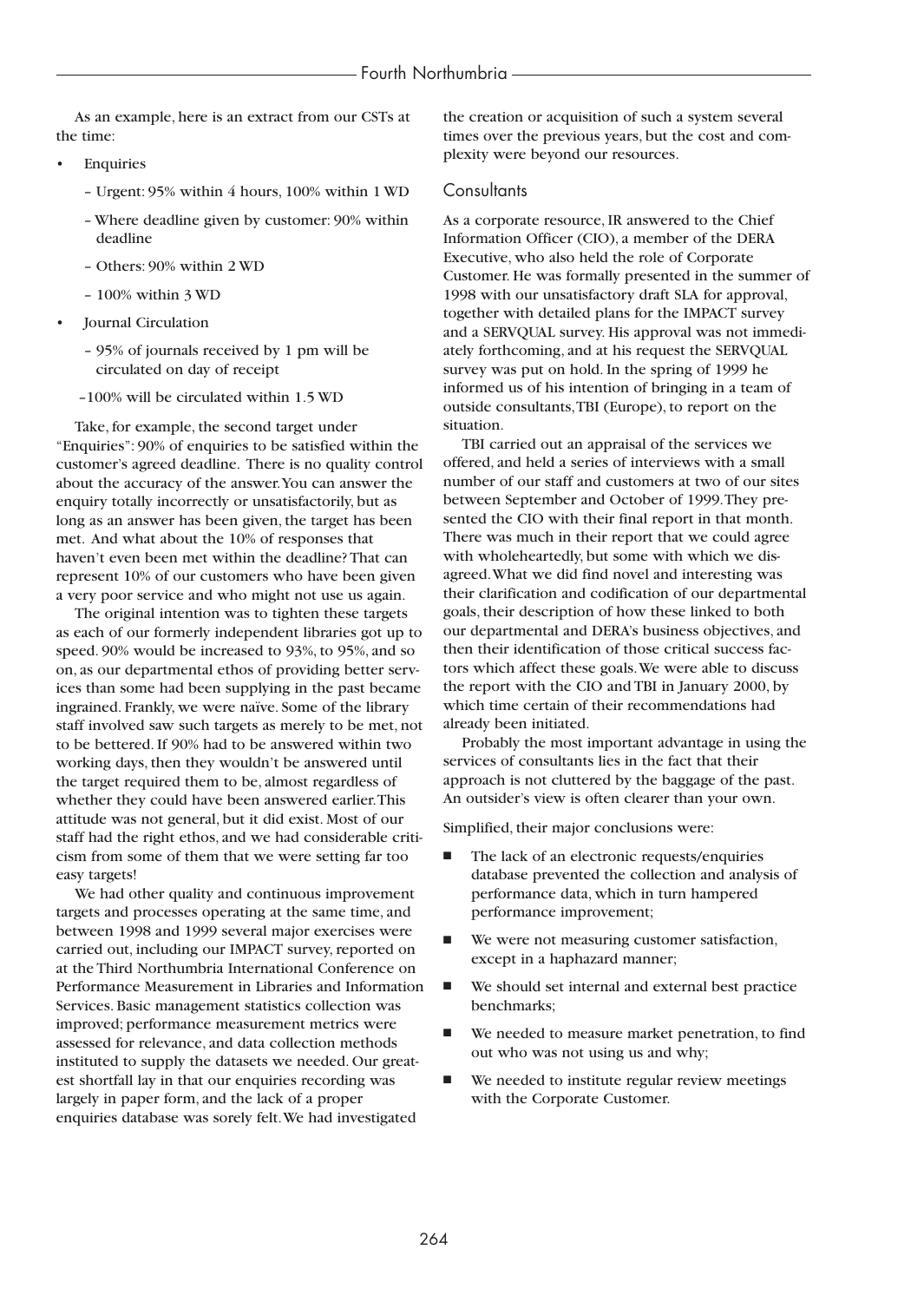As an example, here is an extract from our CSTs at the time:

- **Enquiries** 
	- Urgent: 95% within 4 hours, 100% within 1 WD
	- Where deadline given by customer: 90% within deadline
	- Others: 90% within 2 WD
	- 100% within 3 WD
- Journal Circulation
	- 95% of journals received by 1 pm will be circulated on day of receipt
	- –100% will be circulated within 1.5 WD

Take, for example, the second target under "Enquiries": 90% of enquiries to be satisfied within the customer's agreed deadline. There is no quality control about the accuracy of the answer.You can answer the enquiry totally incorrectly or unsatisfactorily, but as long as an answer has been given, the target has been met. And what about the 10% of responses that haven't even been met within the deadline? That can represent 10% of our customers who have been given a very poor service and who might not use us again.

The original intention was to tighten these targets as each of our formerly independent libraries got up to speed. 90% would be increased to 93%, to 95%, and so on, as our departmental ethos of providing better services than some had been supplying in the past became ingrained. Frankly, we were naïve. Some of the library staff involved saw such targets as merely to be met, not to be bettered. If 90% had to be answered within two working days, then they wouldn't be answered until the target required them to be, almost regardless of whether they could have been answered earlier.This attitude was not general, but it did exist. Most of our staff had the right ethos, and we had considerable criticism from some of them that we were setting far too easy targets!

We had other quality and continuous improvement targets and processes operating at the same time, and between 1998 and 1999 several major exercises were carried out, including our IMPACT survey, reported on at the Third Northumbria International Conference on Performance Measurement in Libraries and Information Services. Basic management statistics collection was improved; performance measurement metrics were assessed for relevance, and data collection methods instituted to supply the datasets we needed. Our greatest shortfall lay in that our enquiries recording was largely in paper form, and the lack of a proper enquiries database was sorely felt.We had investigated

the creation or acquisition of such a system several times over the previous years, but the cost and complexity were beyond our resources.

#### Consultants

As a corporate resource, IR answered to the Chief Information Officer (CIO), a member of the DERA Executive, who also held the role of Corporate Customer. He was formally presented in the summer of 1998 with our unsatisfactory draft SLA for approval, together with detailed plans for the IMPACT survey and a SERVQUAL survey. His approval was not immediately forthcoming, and at his request the SERVQUAL survey was put on hold. In the spring of 1999 he informed us of his intention of bringing in a team of outside consultants,TBI (Europe), to report on the situation.

TBI carried out an appraisal of the services we offered, and held a series of interviews with a small number of our staff and customers at two of our sites between September and October of 1999.They presented the CIO with their final report in that month. There was much in their report that we could agree with wholeheartedly, but some with which we disagreed.What we did find novel and interesting was their clarification and codification of our departmental goals, their description of how these linked to both our departmental and DERA's business objectives, and then their identification of those critical success factors which affect these goals.We were able to discuss the report with the CIO and TBI in January 2000, by which time certain of their recommendations had already been initiated.

Probably the most important advantage in using the services of consultants lies in the fact that their approach is not cluttered by the baggage of the past. An outsider's view is often clearer than your own.

Simplified, their major conclusions were:

- The lack of an electronic requests/enquiries database prevented the collection and analysis of performance data, which in turn hampered performance improvement;
- We were not measuring customer satisfaction, except in a haphazard manner;
- We should set internal and external best practice benchmarks;
- We needed to measure market penetration, to find out who was not using us and why;
- We needed to institute regular review meetings with the Corporate Customer.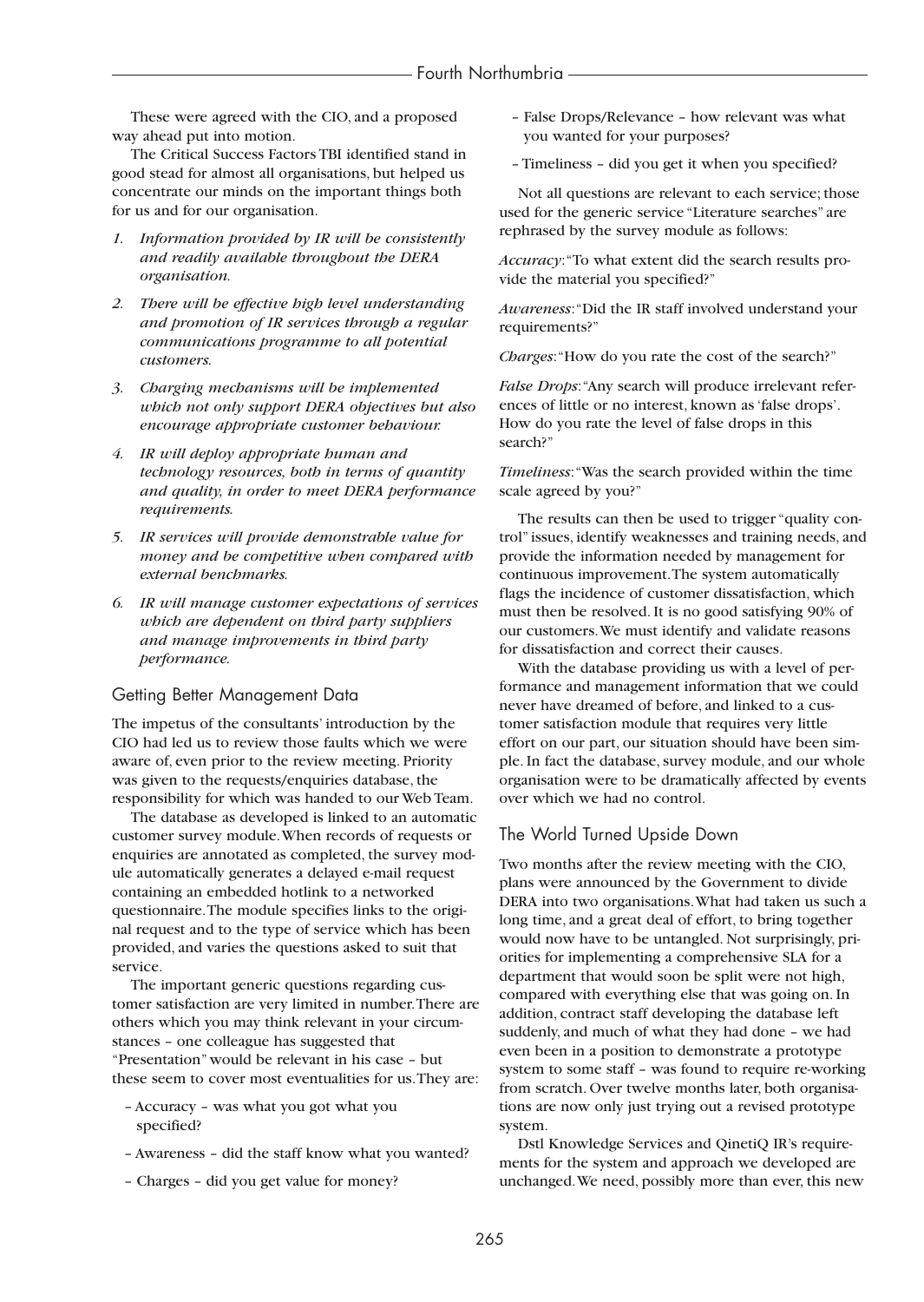These were agreed with the CIO, and a proposed way ahead put into motion.

The Critical Success Factors TBI identified stand in good stead for almost all organisations, but helped us concentrate our minds on the important things both for us and for our organisation.

- *1. Information provided by IR will be consistently and readily available throughout the DERA organisation.*
- *2. There will be effective high level understanding and promotion of IR services through a regular communications programme to all potential customers.*
- *3. Charging mechanisms will be implemented which not only support DERA objectives but also encourage appropriate customer behaviour.*
- *4. IR will deploy appropriate human and technology resources, both in terms of quantity and quality, in order to meet DERA performance requirements.*
- *5. IR services will provide demonstrable value for money and be competitive when compared with external benchmarks.*
- *6. IR will manage customer expectations of services which are dependent on third party suppliers and manage improvements in third party performance.*

## Getting Better Management Data

The impetus of the consultants' introduction by the CIO had led us to review those faults which we were aware of, even prior to the review meeting. Priority was given to the requests/enquiries database, the responsibility for which was handed to our Web Team.

The database as developed is linked to an automatic customer survey module.When records of requests or enquiries are annotated as completed, the survey module automatically generates a delayed e-mail request containing an embedded hotlink to a networked questionnaire.The module specifies links to the original request and to the type of service which has been provided, and varies the questions asked to suit that service.

The important generic questions regarding customer satisfaction are very limited in number.There are others which you may think relevant in your circumstances – one colleague has suggested that "Presentation" would be relevant in his case – but these seem to cover most eventualities for us.They are:

- Accuracy was what you got what you specified?
- Awareness did the staff know what you wanted?
- Charges did you get value for money?
- False Drops/Relevance how relevant was what you wanted for your purposes?
- Timeliness did you get it when you specified?

Not all questions are relevant to each service; those used for the generic service "Literature searches" are rephrased by the survey module as follows:

*Accuracy*:"To what extent did the search results provide the material you specified?"

*Awareness*:"Did the IR staff involved understand your requirements?"

*Charges*:"How do you rate the cost of the search?"

*False Drops*:"Any search will produce irrelevant references of little or no interest, known as 'false drops'. How do you rate the level of false drops in this search?"

*Timeliness*:"Was the search provided within the time scale agreed by you?"

The results can then be used to trigger "quality control" issues, identify weaknesses and training needs, and provide the information needed by management for continuous improvement.The system automatically flags the incidence of customer dissatisfaction, which must then be resolved. It is no good satisfying 90% of our customers.We must identify and validate reasons for dissatisfaction and correct their causes.

With the database providing us with a level of performance and management information that we could never have dreamed of before, and linked to a customer satisfaction module that requires very little effort on our part, our situation should have been simple. In fact the database, survey module, and our whole organisation were to be dramatically affected by events over which we had no control.

#### The World Turned Upside Down

Two months after the review meeting with the CIO, plans were announced by the Government to divide DERA into two organisations.What had taken us such a long time, and a great deal of effort, to bring together would now have to be untangled. Not surprisingly, priorities for implementing a comprehensive SLA for a department that would soon be split were not high, compared with everything else that was going on. In addition, contract staff developing the database left suddenly, and much of what they had done – we had even been in a position to demonstrate a prototype system to some staff – was found to require re-working from scratch. Over twelve months later, both organisations are now only just trying out a revised prototype system.

Dstl Knowledge Services and QinetiQ IR's requirements for the system and approach we developed are unchanged.We need, possibly more than ever, this new